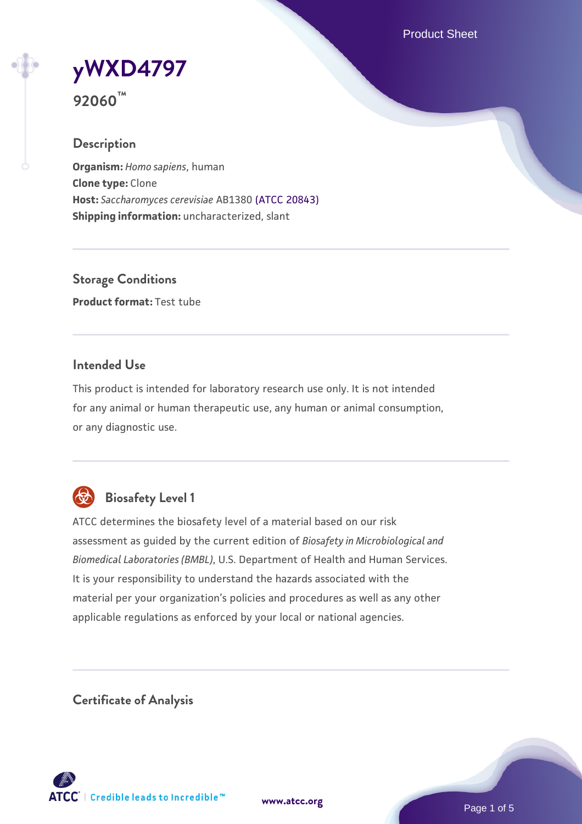Product Sheet

**[yWXD4797](https://www.atcc.org/products/92060)**

**92060™**

### **Description**

**Organism:** *Homo sapiens*, human **Clone type:** Clone **Host:** *Saccharomyces cerevisiae* AB1380 [\(ATCC 20843\)](https://www.atcc.org/products/20843) **Shipping information:** uncharacterized, slant

**Storage Conditions Product format:** Test tube

### **Intended Use**

This product is intended for laboratory research use only. It is not intended for any animal or human therapeutic use, any human or animal consumption, or any diagnostic use.



# **Biosafety Level 1**

ATCC determines the biosafety level of a material based on our risk assessment as guided by the current edition of *Biosafety in Microbiological and Biomedical Laboratories (BMBL)*, U.S. Department of Health and Human Services. It is your responsibility to understand the hazards associated with the material per your organization's policies and procedures as well as any other applicable regulations as enforced by your local or national agencies.

**Certificate of Analysis**

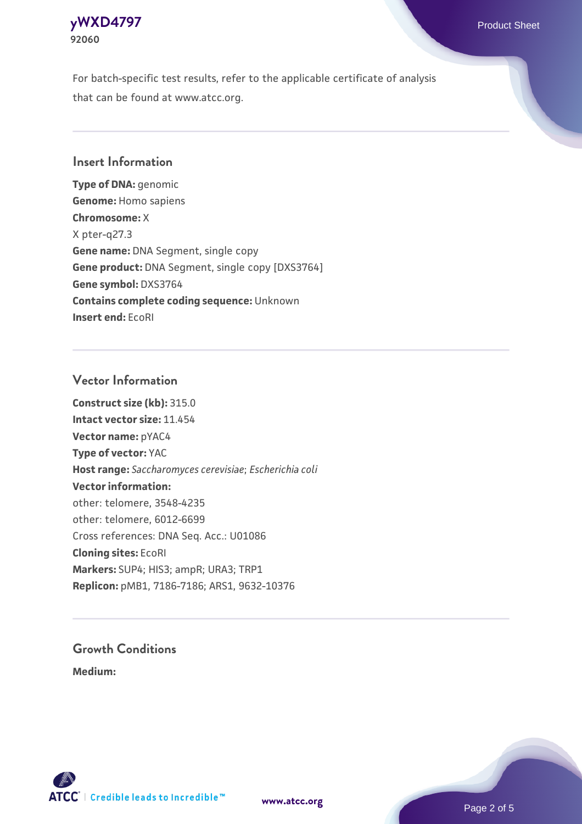

For batch-specific test results, refer to the applicable certificate of analysis that can be found at www.atcc.org.

### **Insert Information**

**Type of DNA:** genomic **Genome:** Homo sapiens **Chromosome:** X X pter-q27.3 **Gene name:** DNA Segment, single copy **Gene product:** DNA Segment, single copy [DXS3764] **Gene symbol:** DXS3764 **Contains complete coding sequence:** Unknown **Insert end:** EcoRI

#### **Vector Information**

**Construct size (kb):** 315.0 **Intact vector size:** 11.454 **Vector name:** pYAC4 **Type of vector:** YAC **Host range:** *Saccharomyces cerevisiae*; *Escherichia coli* **Vector information:** other: telomere, 3548-4235 other: telomere, 6012-6699 Cross references: DNA Seq. Acc.: U01086 **Cloning sites:** EcoRI **Markers:** SUP4; HIS3; ampR; URA3; TRP1 **Replicon:** pMB1, 7186-7186; ARS1, 9632-10376

# **Growth Conditions**

**Medium:** 





Page 2 of 5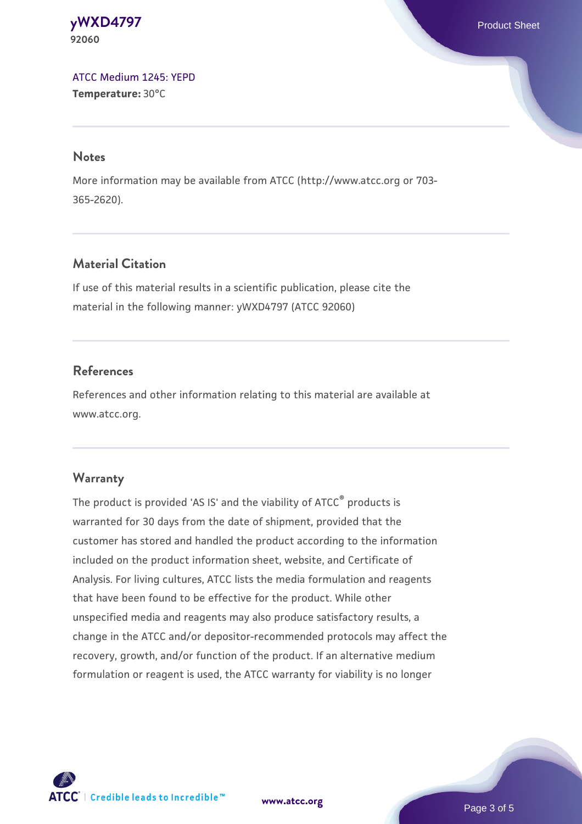**[yWXD4797](https://www.atcc.org/products/92060)** Product Sheet **92060**

[ATCC Medium 1245: YEPD](https://www.atcc.org/-/media/product-assets/documents/microbial-media-formulations/1/2/4/5/atcc-medium-1245.pdf?rev=705ca55d1b6f490a808a965d5c072196) **Temperature:** 30°C

#### **Notes**

More information may be available from ATCC (http://www.atcc.org or 703- 365-2620).

### **Material Citation**

If use of this material results in a scientific publication, please cite the material in the following manner: yWXD4797 (ATCC 92060)

### **References**

References and other information relating to this material are available at www.atcc.org.

#### **Warranty**

The product is provided 'AS IS' and the viability of ATCC® products is warranted for 30 days from the date of shipment, provided that the customer has stored and handled the product according to the information included on the product information sheet, website, and Certificate of Analysis. For living cultures, ATCC lists the media formulation and reagents that have been found to be effective for the product. While other unspecified media and reagents may also produce satisfactory results, a change in the ATCC and/or depositor-recommended protocols may affect the recovery, growth, and/or function of the product. If an alternative medium formulation or reagent is used, the ATCC warranty for viability is no longer

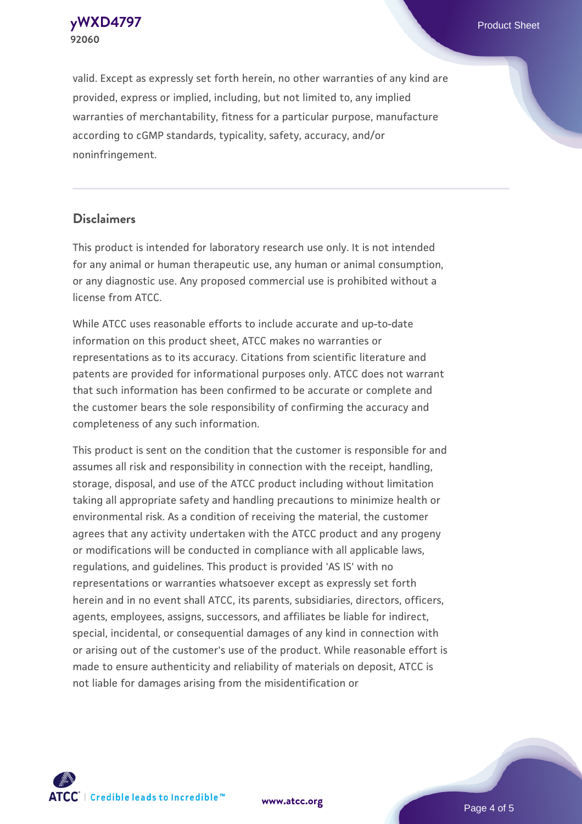**[yWXD4797](https://www.atcc.org/products/92060)** Product Sheet **92060**

valid. Except as expressly set forth herein, no other warranties of any kind are provided, express or implied, including, but not limited to, any implied warranties of merchantability, fitness for a particular purpose, manufacture according to cGMP standards, typicality, safety, accuracy, and/or noninfringement.

#### **Disclaimers**

This product is intended for laboratory research use only. It is not intended for any animal or human therapeutic use, any human or animal consumption, or any diagnostic use. Any proposed commercial use is prohibited without a license from ATCC.

While ATCC uses reasonable efforts to include accurate and up-to-date information on this product sheet, ATCC makes no warranties or representations as to its accuracy. Citations from scientific literature and patents are provided for informational purposes only. ATCC does not warrant that such information has been confirmed to be accurate or complete and the customer bears the sole responsibility of confirming the accuracy and completeness of any such information.

This product is sent on the condition that the customer is responsible for and assumes all risk and responsibility in connection with the receipt, handling, storage, disposal, and use of the ATCC product including without limitation taking all appropriate safety and handling precautions to minimize health or environmental risk. As a condition of receiving the material, the customer agrees that any activity undertaken with the ATCC product and any progeny or modifications will be conducted in compliance with all applicable laws, regulations, and guidelines. This product is provided 'AS IS' with no representations or warranties whatsoever except as expressly set forth herein and in no event shall ATCC, its parents, subsidiaries, directors, officers, agents, employees, assigns, successors, and affiliates be liable for indirect, special, incidental, or consequential damages of any kind in connection with or arising out of the customer's use of the product. While reasonable effort is made to ensure authenticity and reliability of materials on deposit, ATCC is not liable for damages arising from the misidentification or



**[www.atcc.org](http://www.atcc.org)**

Page 4 of 5